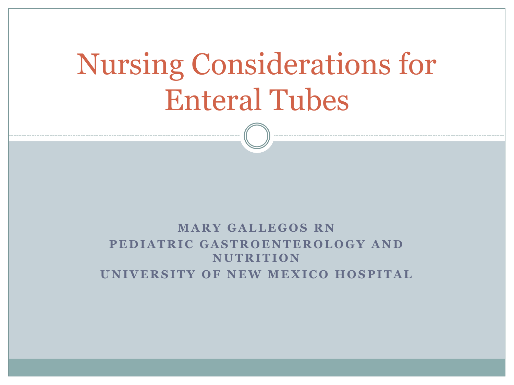# Nursing Considerations for Enteral Tubes

#### **MARY GALLEGOS RN PEDIATRIC GASTROENTEROLOGY AND N U T R I T I O N UNIVERSITY OF NEW MEXICO HOSPITAL**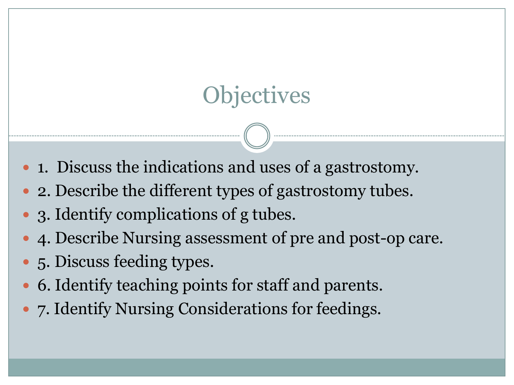# **Objectives**

- 1. Discuss the indications and uses of a gastrostomy.
- 2. Describe the different types of gastrostomy tubes.
- 3. Identify complications of g tubes.
- 4. Describe Nursing assessment of pre and post-op care.
- 5. Discuss feeding types.
- 6. Identify teaching points for staff and parents.
- 7. Identify Nursing Considerations for feedings.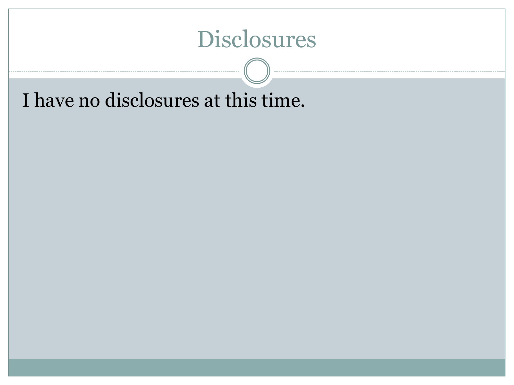## Disclosures

I have no disclosures at this time.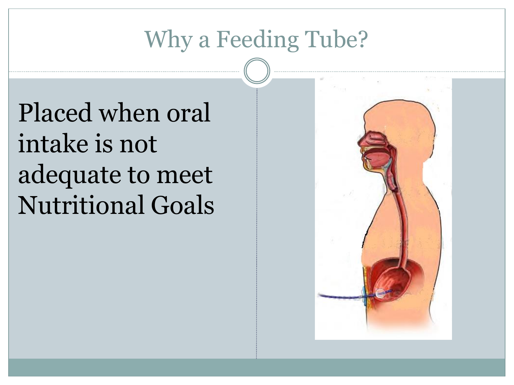# Why a Feeding Tube?

Placed when oral intake is not adequate to meet Nutritional Goals

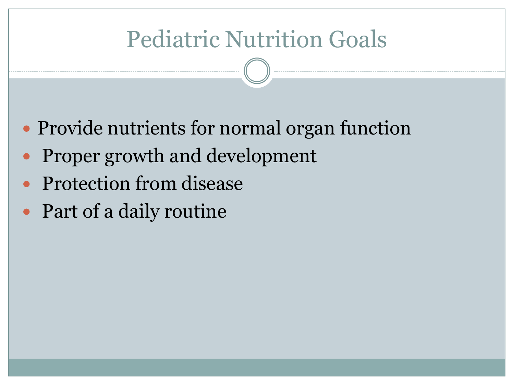# Pediatric Nutrition Goals

- Provide nutrients for normal organ function
- Proper growth and development
- Protection from disease
- Part of a daily routine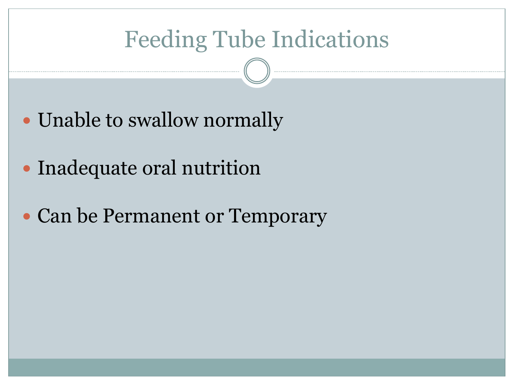# Feeding Tube Indications

- Unable to swallow normally
- Inadequate oral nutrition
- Can be Permanent or Temporary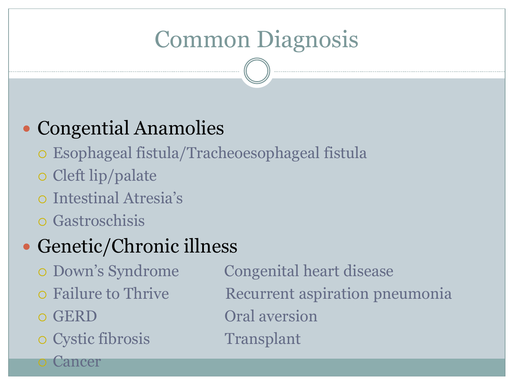# Common Diagnosis

## • Congential Anamolies

- Esophageal fistula/Tracheoesophageal fistula
- Cleft lip/palate
- Intestinal Atresia's
- Gastroschisis

## Genetic/Chronic illness

- 
- 
- 

Cancer

o Cystic fibrosis Transplant

 Down's Syndrome Congenital heart disease o Failure to Thrive **Recurrent aspiration pneumonia** o GERD Oral aversion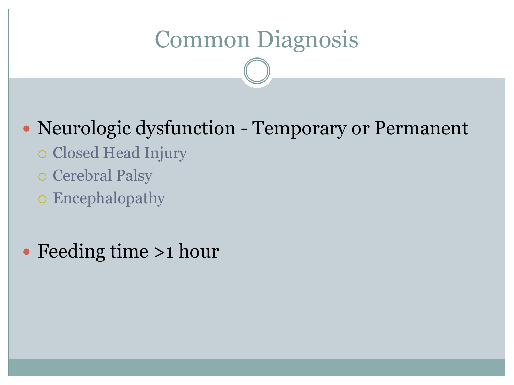# Common Diagnosis

## Neurologic dysfunction - Temporary or Permanent

- o Closed Head Injury
- o Cerebral Palsy
- Encephalopathy

## • Feeding time >1 hour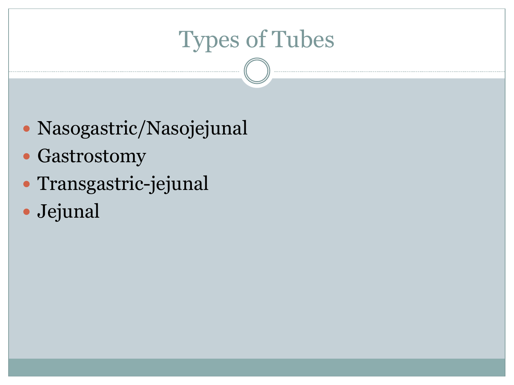# Types of Tubes

- Nasogastric/Nasojejunal
- Gastrostomy
- Transgastric-jejunal
- Jejunal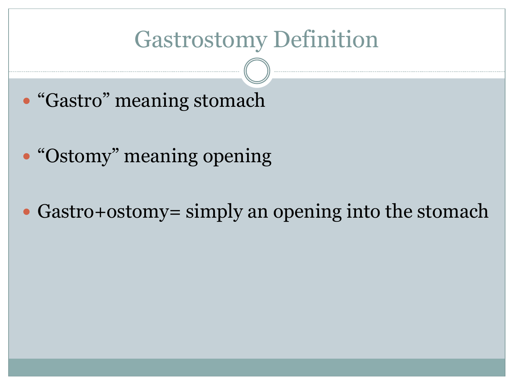## Gastrostomy Definition

- "Gastro" meaning stomach
- "Ostomy" meaning opening
- Gastro+ostomy= simply an opening into the stomach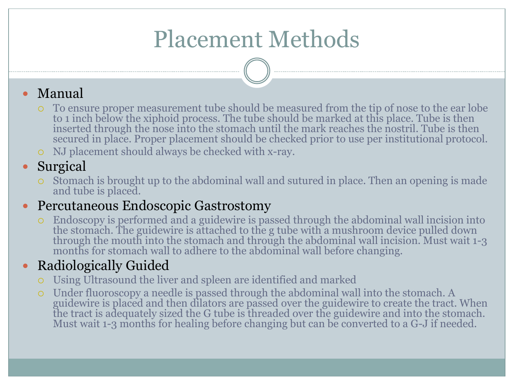# Placement Methods

#### Manual

- To ensure proper measurement tube should be measured from the tip of nose to the ear lobe to 1 inch below the xiphoid process. The tube should be marked at this place. Tube is then inserted through the nose into the stomach until the mark reaches the nostril. Tube is then secured in place. Proper placement should be checked prior to use per institutional protocol.
- NJ placement should always be checked with x-ray.

#### • Surgical

 Stomach is brought up to the abdominal wall and sutured in place. Then an opening is made and tube is placed.

#### • Percutaneous Endoscopic Gastrostomy

 Endoscopy is performed and a guidewire is passed through the abdominal wall incision into the stomach. The guidewire is attached to the g tube with a mushroom device pulled down through the mouth into the stomach and through the abdominal wall incision. Must wait 1-3 months for stomach wall to adhere to the abdominal wall before changing.

#### • Radiologically Guided

- Using Ultrasound the liver and spleen are identified and marked
- Under fluoroscopy a needle is passed through the abdominal wall into the stomach. A guidewire is placed and then dilators are passed over the guidewire to create the tract. When the tract is adequately sized the G tube is threaded over the guidewire and into the stomach. Must wait 1-3 months for healing before changing but can be converted to a G-J if needed.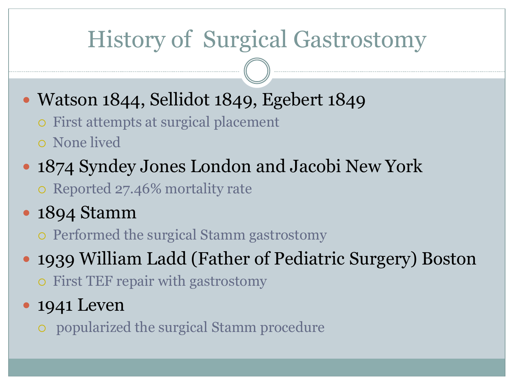# History of Surgical Gastrostomy

- Watson 1844, Sellidot 1849, Egebert 1849
	- First attempts at surgical placement
	- None lived
- 1874 Syndey Jones London and Jacobi New York
	- o Reported 27.46% mortality rate
- 1894 Stamm
	- Performed the surgical Stamm gastrostomy
- 1939 William Ladd (Father of Pediatric Surgery) Boston
	- First TEF repair with gastrostomy
- 1941 Leven
	- popularized the surgical Stamm procedure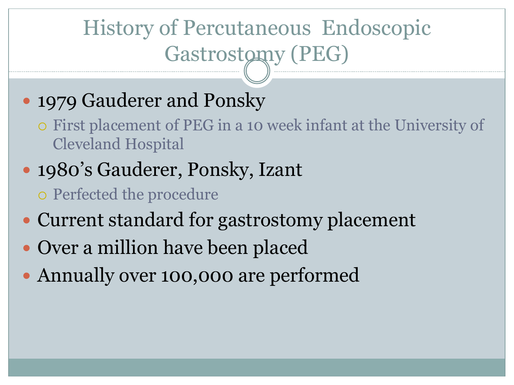# History of Percutaneous Endoscopic Gastrostomy (PEG)

## • 1979 Gauderer and Ponsky

- First placement of PEG in a 10 week infant at the University of Cleveland Hospital
- 1980's Gauderer, Ponsky, Izant
	- Perfected the procedure
- Current standard for gastrostomy placement
- Over a million have been placed
- Annually over 100,000 are performed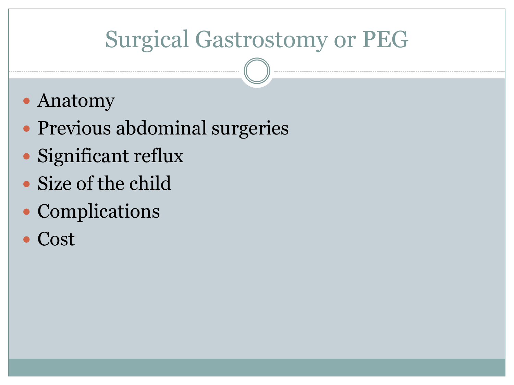# Surgical Gastrostomy or PEG

- Anatomy
- Previous abdominal surgeries
- Significant reflux
- Size of the child
- Complications
- Cost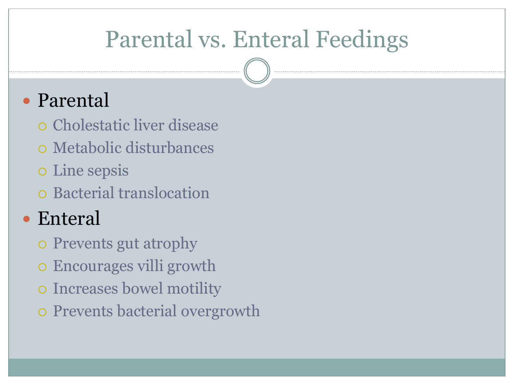## Parental vs. Enteral Feedings

## Parental

- Cholestatic liver disease
- Metabolic disturbances
- Line sepsis
- Bacterial translocation

## Enteral

- Prevents gut atrophy
- Encourages villi growth
- Increases bowel motility
- Prevents bacterial overgrowth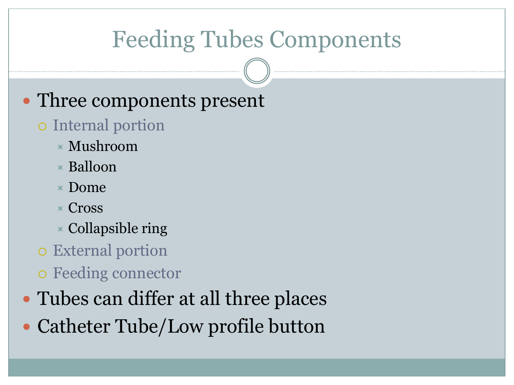## Feeding Tubes Components

## • Three components present

## o Internal portion

- $\times$  Mushroom
- $\times$  Balloon
- $\blacktriangleright$  Dome
- $\times$  Cross
- $\times$  Collapsible ring
- External portion
- Feeding connector
- Tubes can differ at all three places
- Catheter Tube/Low profile button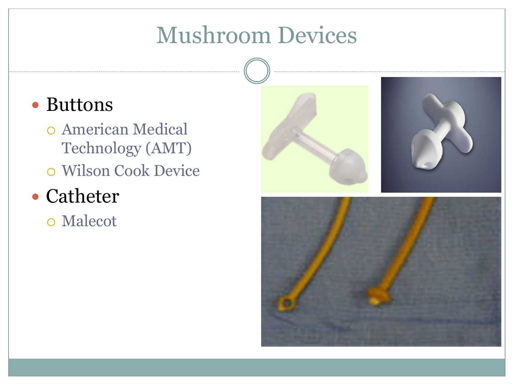## Mushroom Devices

## • Buttons

 American Medical Technology (AMT) Wilson Cook Device

## • Catheter

Malecot

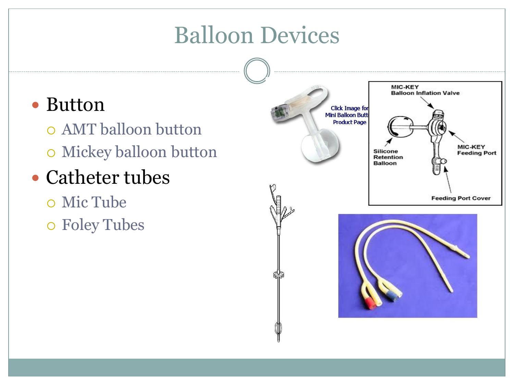## Balloon Devices

## • Button

- AMT balloon button Mickey balloon button
- Catheter tubes
	- Mic Tube Foley Tubes

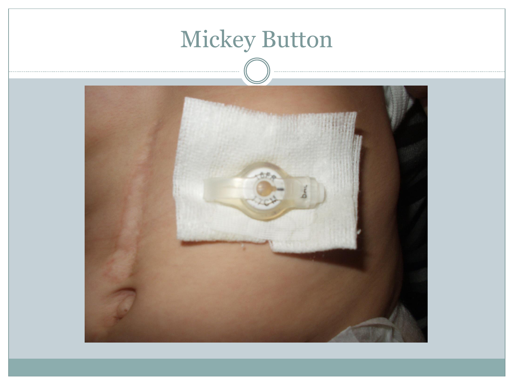

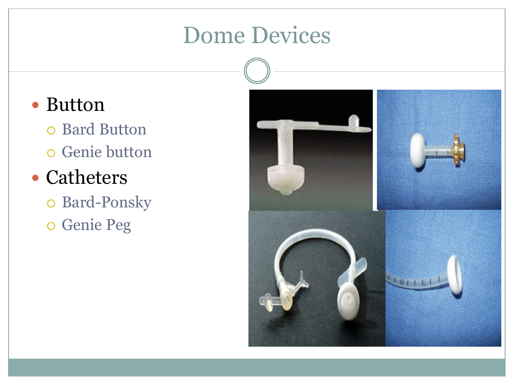## Dome Devices

## • Button

o Bard Button Genie button

## • Catheters

 Bard-Ponsky Genie Peg

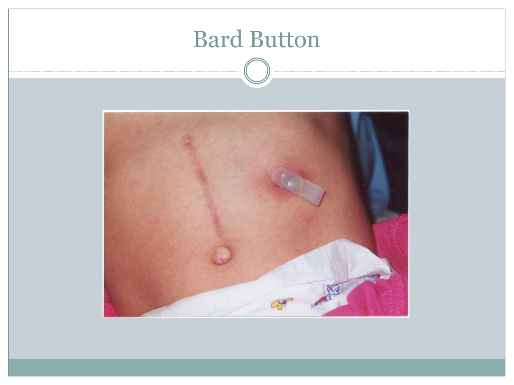

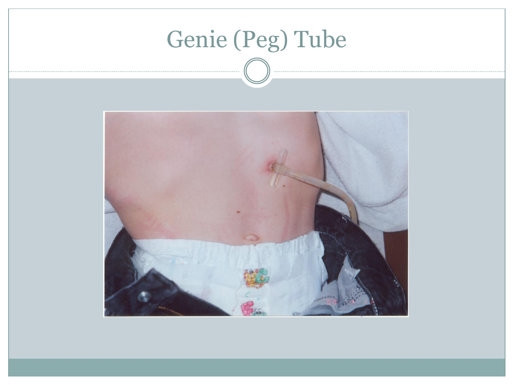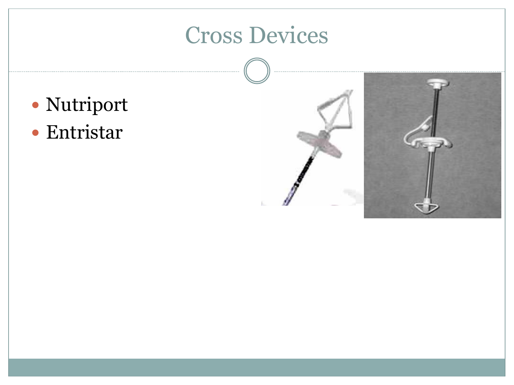# Cross Devices

- Nutriport
- Entristar

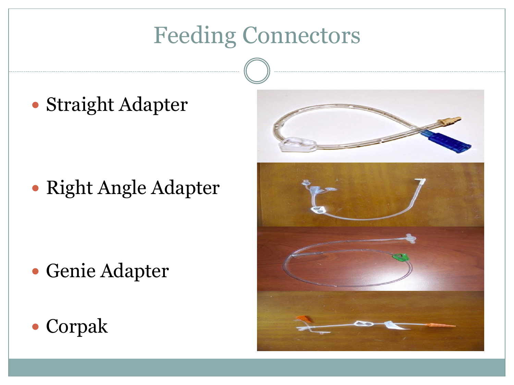# Feeding Connectors

Straight Adapter

Right Angle Adapter

- Genie Adapter
- Corpak

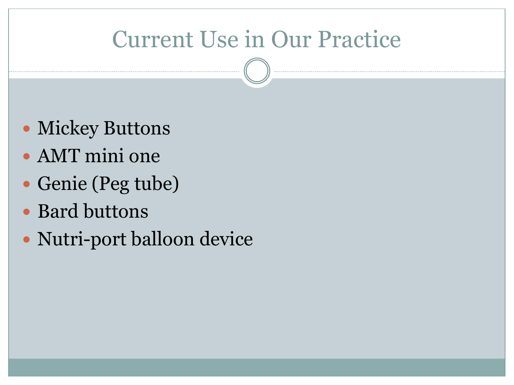## Current Use in Our Practice

- Mickey Buttons
- AMT mini one
- Genie (Peg tube)
- Bard buttons
- Nutri-port balloon device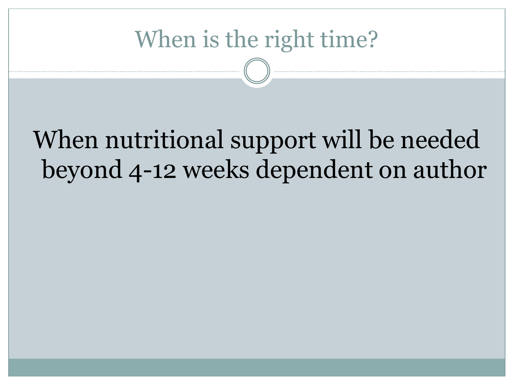## When is the right time?

# When nutritional support will be needed beyond 4-12 weeks dependent on author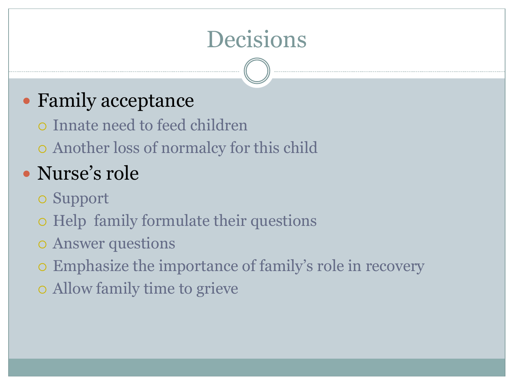# Decisions

## • Family acceptance

- Innate need to feed children
- Another loss of normalcy for this child

## Nurse's role

- Support
- o Help family formulate their questions
- Answer questions
- Emphasize the importance of family's role in recovery
- Allow family time to grieve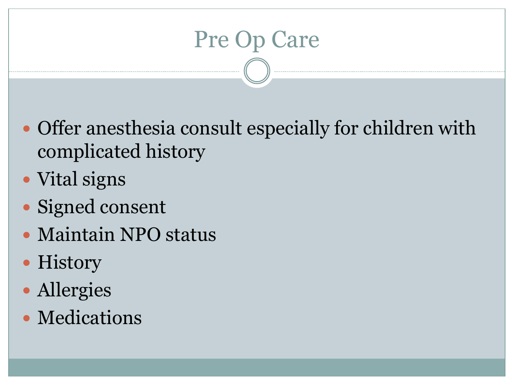# Pre Op Care

- Offer anesthesia consult especially for children with complicated history
- Vital signs
- Signed consent
- Maintain NPO status
- History
- Allergies
- Medications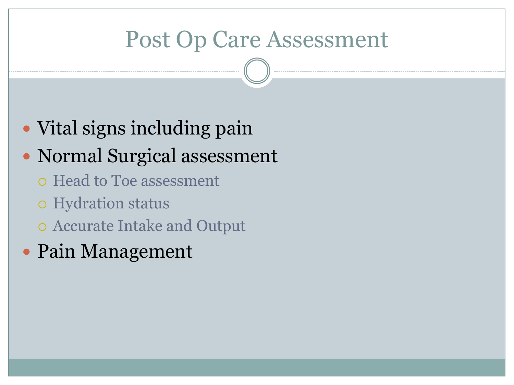## Post Op Care Assessment

• Vital signs including pain

## • Normal Surgical assessment

- Head to Toe assessment
- o Hydration status
- Accurate Intake and Output
- Pain Management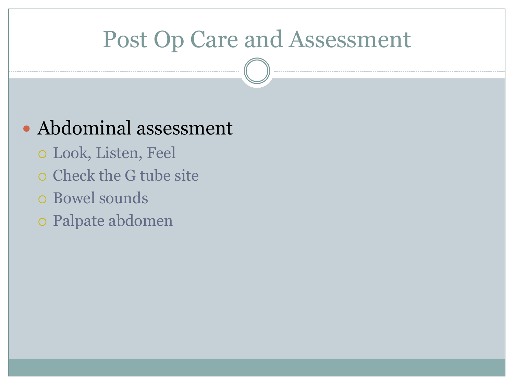## Post Op Care and Assessment

## Abdominal assessment

- Look, Listen, Feel
- o Check the G tube site
- Bowel sounds
- Palpate abdomen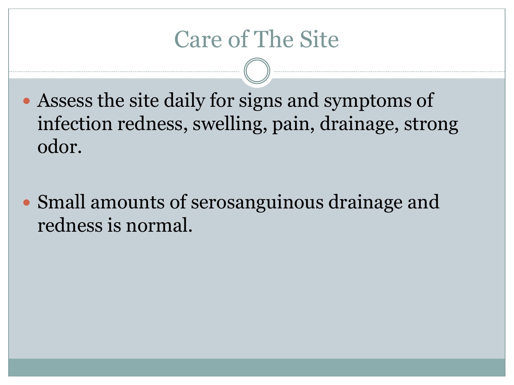## Care of The Site

- Assess the site daily for signs and symptoms of infection redness, swelling, pain, drainage, strong odor.
- Small amounts of serosanguinous drainage and redness is normal.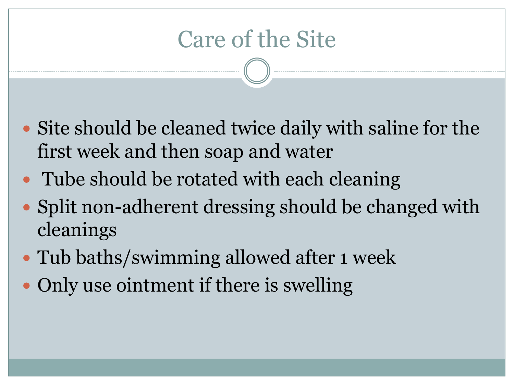## Care of the Site

- Site should be cleaned twice daily with saline for the first week and then soap and water
- Tube should be rotated with each cleaning
- Split non-adherent dressing should be changed with cleanings
- Tub baths/swimming allowed after 1 week
- Only use ointment if there is swelling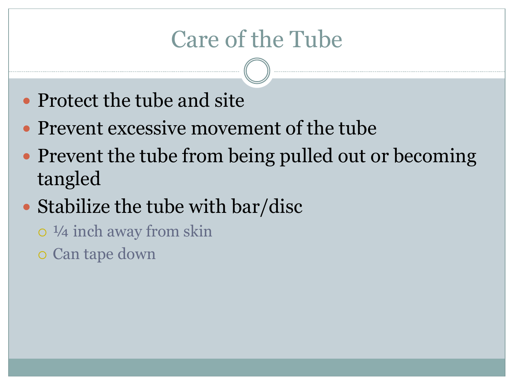## Care of the Tube

- Protect the tube and site
- Prevent excessive movement of the tube
- Prevent the tube from being pulled out or becoming tangled
- Stabilize the tube with bar/disc
	- ¼ inch away from skin
	- Can tape down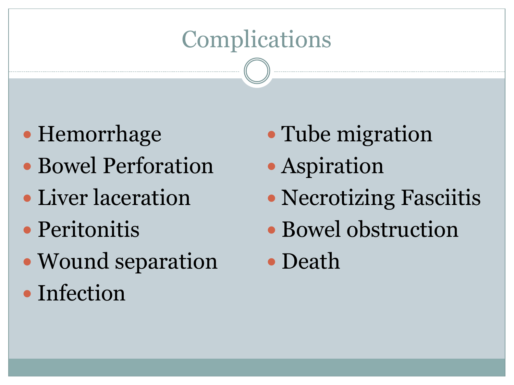# **Complications**

- Hemorrhage
- Bowel Perforation
- Liver laceration
- Peritonitis
- Wound separation
- Infection
- Tube migration
- Aspiration
- Necrotizing Fasciitis
- Bowel obstruction
- Death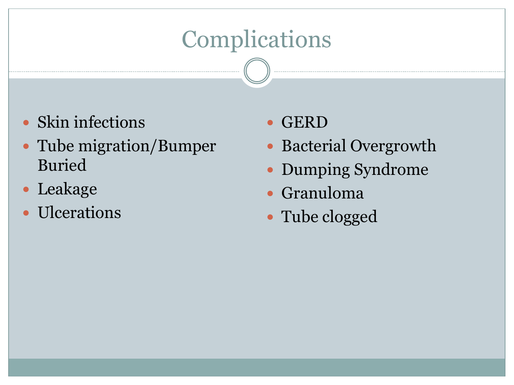# **Complications**

- Skin infections
- Tube migration/Bumper Buried
- Leakage
- Ulcerations
- GERD
- Bacterial Overgrowth
- Dumping Syndrome
- Granuloma
- Tube clogged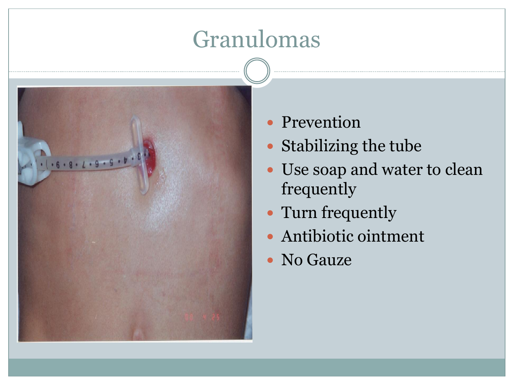## Granulomas



- Prevention
- Stabilizing the tube
- Use soap and water to clean frequently
- Turn frequently
- Antibiotic ointment
- No Gauze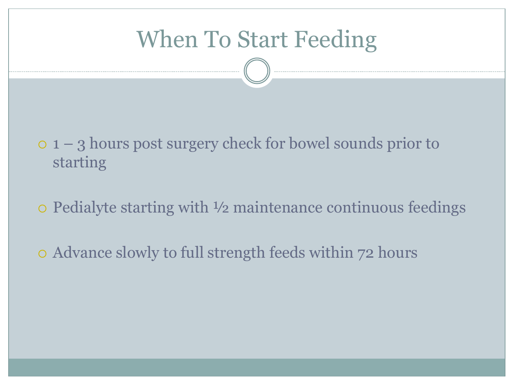## When To Start Feeding

 1 – 3 hours post surgery check for bowel sounds prior to starting

Pedialyte starting with ½ maintenance continuous feedings

Advance slowly to full strength feeds within 72 hours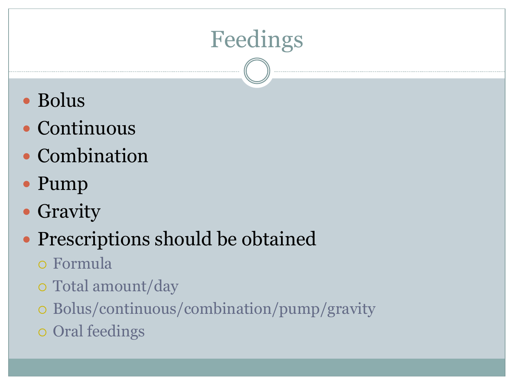# Feedings

- Bolus
- Continuous
- Combination
- Pump
- Gravity

## Prescriptions should be obtained

- Formula
- Total amount/day
- Bolus/continuous/combination/pump/gravity
- Oral feedings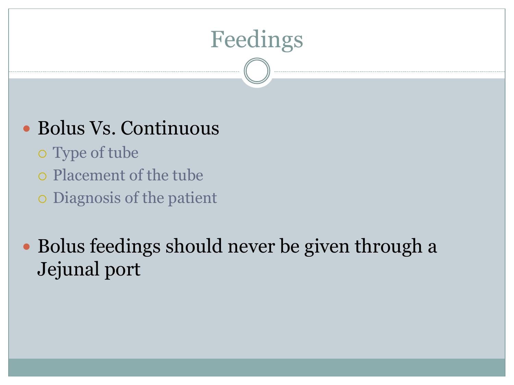

## Bolus Vs. Continuous

- Type of tube
- Placement of the tube
- Diagnosis of the patient

• Bolus feedings should never be given through a Jejunal port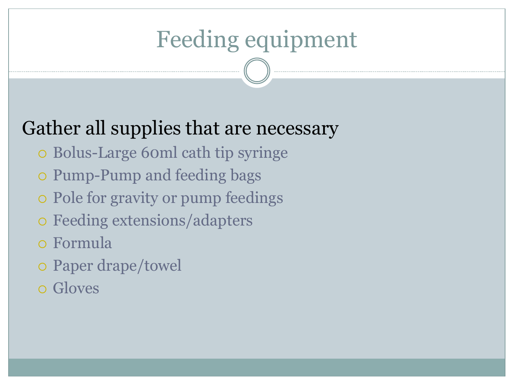# Feeding equipment

## Gather all supplies that are necessary

- Bolus-Large 60ml cath tip syringe
- Pump-Pump and feeding bags
- Pole for gravity or pump feedings
- Feeding extensions/adapters
- Formula
- Paper drape/towel
- Gloves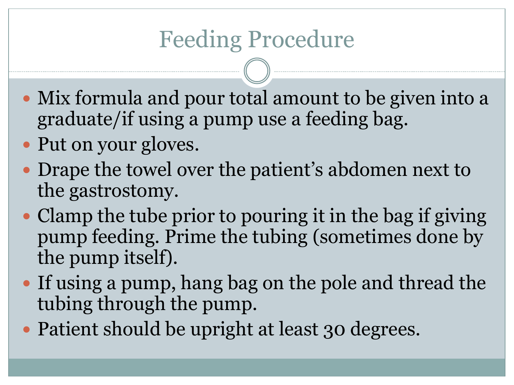## Feeding Procedure

- Mix formula and pour total amount to be given into a graduate/if using a pump use a feeding bag.
- Put on your gloves.
- Drape the towel over the patient's abdomen next to the gastrostomy.
- Clamp the tube prior to pouring it in the bag if giving pump feeding. Prime the tubing (sometimes done by the pump itself).
- If using a pump, hang bag on the pole and thread the tubing through the pump.
- Patient should be upright at least 30 degrees.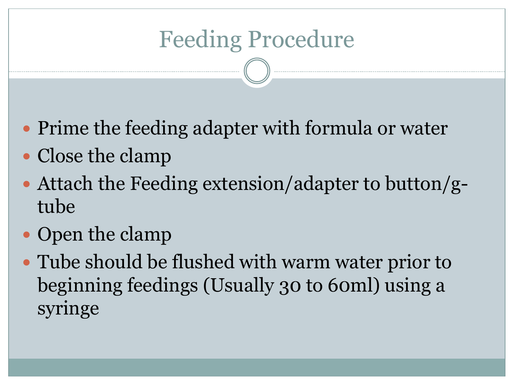# Feeding Procedure

- Prime the feeding adapter with formula or water
- Close the clamp
- Attach the Feeding extension/adapter to button/gtube
- Open the clamp
- Tube should be flushed with warm water prior to beginning feedings (Usually 30 to 60ml) using a syringe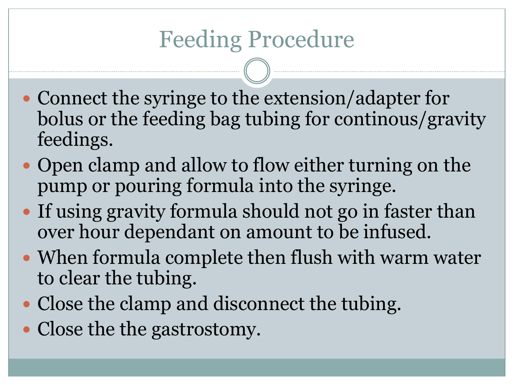- Connect the syringe to the extension/adapter for bolus or the feeding bag tubing for continous/gravity feedings.
- Open clamp and allow to flow either turning on the pump or pouring formula into the syringe.
- If using gravity formula should not go in faster than over hour dependant on amount to be infused.
- When formula complete then flush with warm water to clear the tubing.
- Close the clamp and disconnect the tubing.
- Close the the gastrostomy.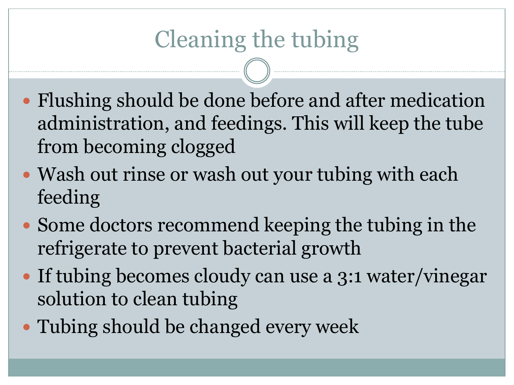# Cleaning the tubing

- Flushing should be done before and after medication administration, and feedings. This will keep the tube from becoming clogged
- Wash out rinse or wash out your tubing with each feeding
- Some doctors recommend keeping the tubing in the refrigerate to prevent bacterial growth
- If tubing becomes cloudy can use a 3:1 water/vinegar solution to clean tubing
- Tubing should be changed every week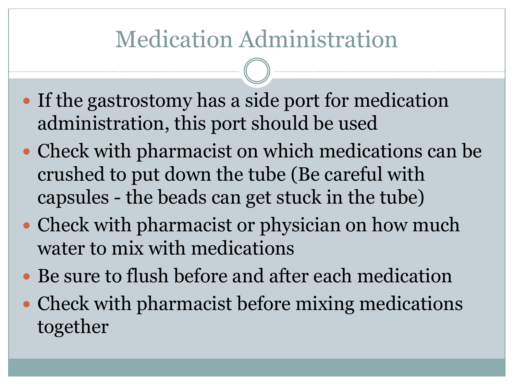# Medication Administration

- If the gastrostomy has a side port for medication administration, this port should be used
- Check with pharmacist on which medications can be crushed to put down the tube (Be careful with capsules - the beads can get stuck in the tube)
- Check with pharmacist or physician on how much water to mix with medications
- Be sure to flush before and after each medication
- Check with pharmacist before mixing medications together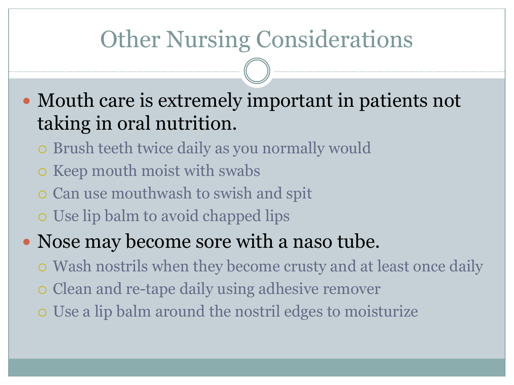## Other Nursing Considerations

• Mouth care is extremely important in patients not taking in oral nutrition.

- Brush teeth twice daily as you normally would
- o Keep mouth moist with swabs
- Can use mouthwash to swish and spit
- Use lip balm to avoid chapped lips

## • Nose may become sore with a naso tube.

- Wash nostrils when they become crusty and at least once daily
- Clean and re-tape daily using adhesive remover
- Use a lip balm around the nostril edges to moisturize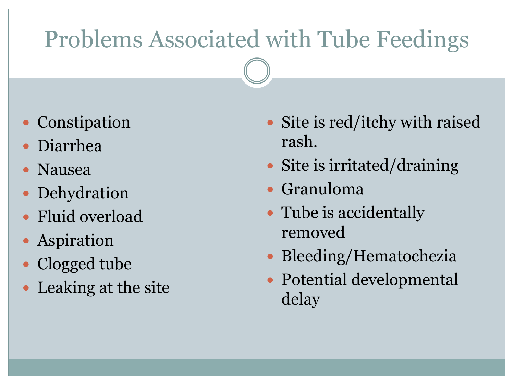# Problems Associated with Tube Feedings

- Constipation
- Diarrhea
- Nausea
- Dehydration
- Fluid overload
- Aspiration
- Clogged tube
- Leaking at the site
- Site is red/itchy with raised rash.
- Site is irritated/draining
- Granuloma
- Tube is accidentally removed
- Bleeding/Hematochezia
- Potential developmental delay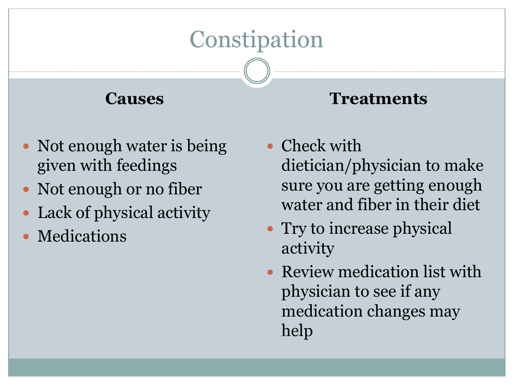## **Constipation**

## **Causes**

## • Not enough water is being given with feedings

- Not enough or no fiber
- Lack of physical activity
- Medications

- Check with dietician/physician to make sure you are getting enough water and fiber in their diet
- Try to increase physical activity
- Review medication list with physician to see if any medication changes may help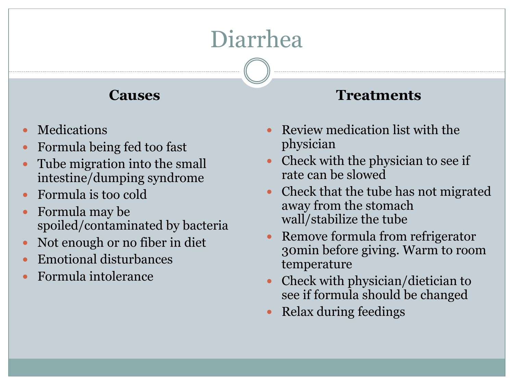# Diarrhea

#### **Causes**

- Medications
- Formula being fed too fast
- Tube migration into the small intestine/dumping syndrome
- Formula is too cold
- Formula may be spoiled/contaminated by bacteria
- Not enough or no fiber in diet
- Emotional disturbances
- Formula intolerance

- Review medication list with the physician
- Check with the physician to see if rate can be slowed
- Check that the tube has not migrated away from the stomach wall/stabilize the tube
- Remove formula from refrigerator 30min before giving. Warm to room temperature
- Check with physician/dietician to see if formula should be changed
- Relax during feedings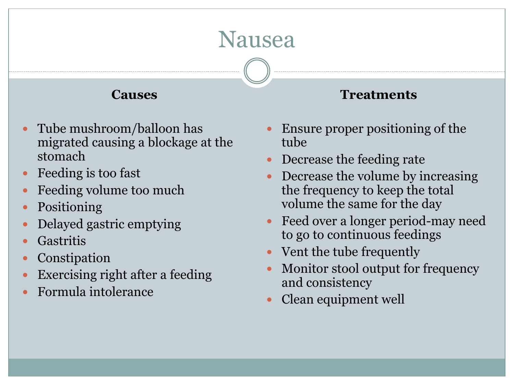## Nausea

#### **Causes**

- Tube mushroom/balloon has migrated causing a blockage at the stomach
- Feeding is too fast
- Feeding volume too much
- Positioning
- Delayed gastric emptying
- **Gastritis**
- Constipation
- Exercising right after a feeding
- Formula intolerance

#### Ensure proper positioning of the tube

- Decrease the feeding rate
- Decrease the volume by increasing the frequency to keep the total volume the same for the day
- Feed over a longer period-may need to go to continuous feedings
- Vent the tube frequently
- Monitor stool output for frequency and consistency
- Clean equipment well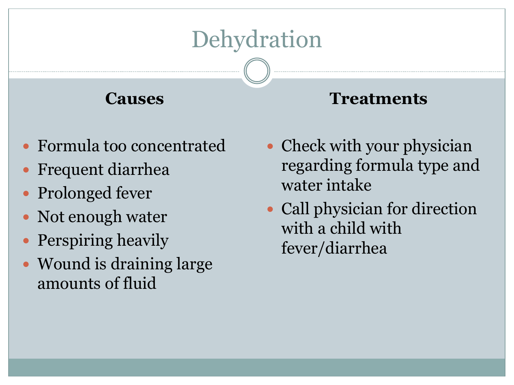# **Dehydration**

## **Causes**

- Formula too concentrated
- Frequent diarrhea
- Prolonged fever
- Not enough water
- Perspiring heavily
- Wound is draining large amounts of fluid
- Check with your physician regarding formula type and water intake
- Call physician for direction with a child with fever/diarrhea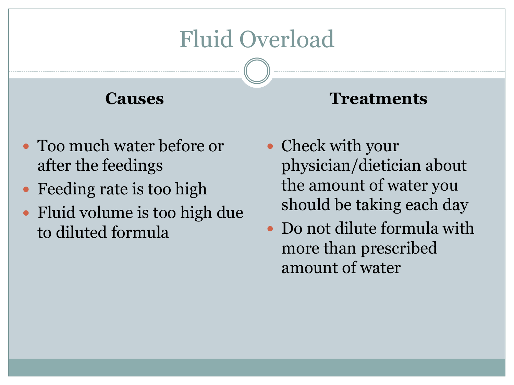## Fluid Overload

## **Causes**

- Too much water before or after the feedings
- Feeding rate is too high
- Fluid volume is too high due to diluted formula
- Check with your physician/dietician about the amount of water you should be taking each day
- Do not dilute formula with more than prescribed amount of water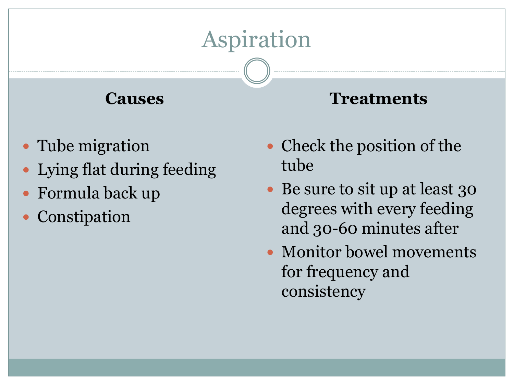# Aspiration

## **Causes**

- Tube migration
- Lying flat during feeding
- Formula back up
- Constipation
- Check the position of the tube
- Be sure to sit up at least 30 degrees with every feeding and 30-60 minutes after
- Monitor bowel movements for frequency and consistency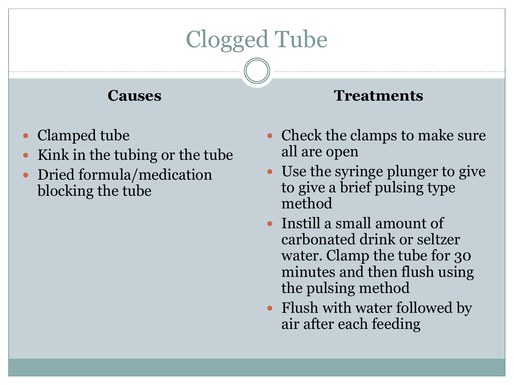# Clogged Tube

#### **Causes**

- Clamped tube
- Kink in the tubing or the tube
- Dried formula/medication blocking the tube

- Check the clamps to make sure all are open
- Use the syringe plunger to give to give a brief pulsing type method
- Instill a small amount of carbonated drink or seltzer water. Clamp the tube for 30 minutes and then flush using the pulsing method
- Flush with water followed by air after each feeding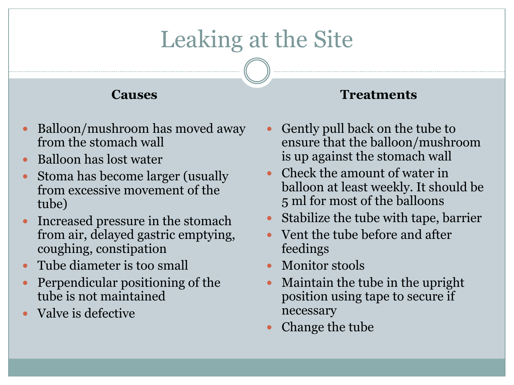# Leaking at the Site

#### **Causes**

- Balloon/mushroom has moved away from the stomach wall
- Balloon has lost water
- Stoma has become larger (usually from excessive movement of the tube)
- Increased pressure in the stomach from air, delayed gastric emptying, coughing, constipation
- Tube diameter is too small
- Perpendicular positioning of the tube is not maintained
- Valve is defective

- Gently pull back on the tube to ensure that the balloon/mushroom is up against the stomach wall
- Check the amount of water in balloon at least weekly. It should be 5 ml for most of the balloons
- Stabilize the tube with tape, barrier
- Vent the tube before and after feedings
- Monitor stools
- Maintain the tube in the upright position using tape to secure if necessary
- Change the tube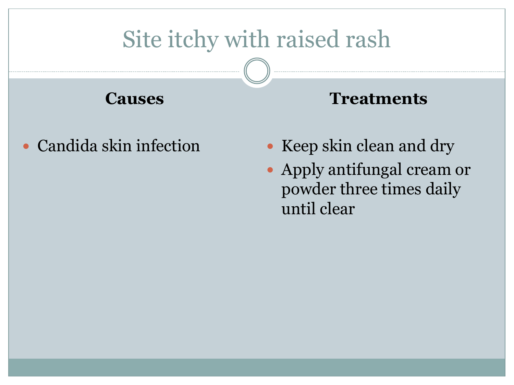# Site itchy with raised rash

**Causes**

Candida skin infection

- Keep skin clean and dry
- Apply antifungal cream or powder three times daily until clear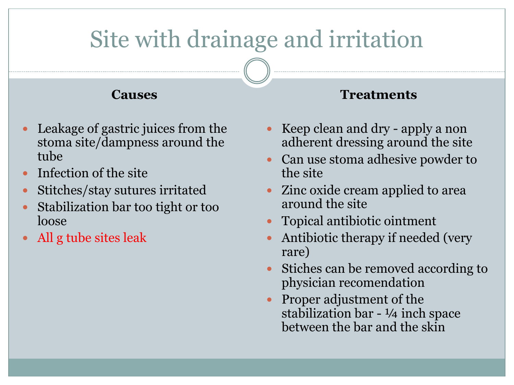# Site with drainage and irritation

#### **Causes**

- Leakage of gastric juices from the stoma site/dampness around the tube
- Infection of the site
- Stitches/stay sutures irritated
- Stabilization bar too tight or too loose
- All g tube sites leak

- Keep clean and dry apply a non adherent dressing around the site
- Can use stoma adhesive powder to the site
- Zinc oxide cream applied to area around the site
- Topical antibiotic ointment
- Antibiotic therapy if needed (very rare)
- Stiches can be removed according to physician recomendation
- Proper adjustment of the stabilization bar - ¼ inch space between the bar and the skin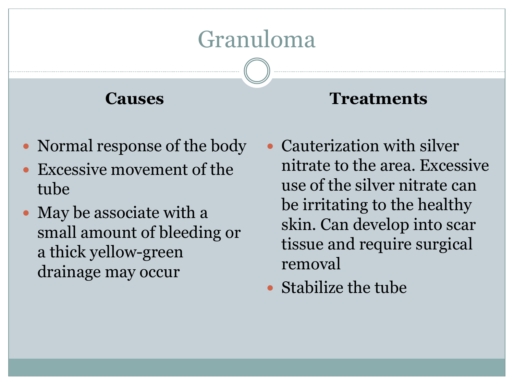## Granuloma

## **Causes**

- Normal response of the body
- Excessive movement of the tube
- May be associate with a small amount of bleeding or a thick yellow-green drainage may occur
- Cauterization with silver nitrate to the area. Excessive use of the silver nitrate can be irritating to the healthy skin. Can develop into scar tissue and require surgical removal
- Stabilize the tube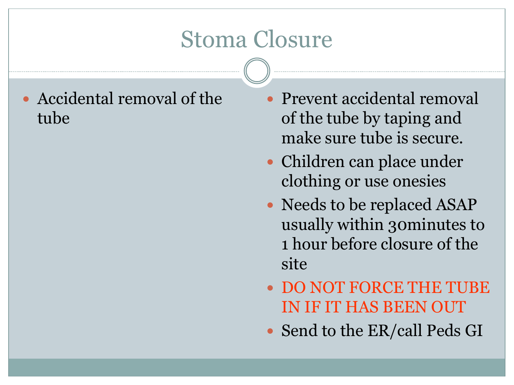## Stoma Closure

 Accidental removal of the tube

- Prevent accidental removal of the tube by taping and make sure tube is secure.
- Children can place under clothing or use onesies
- Needs to be replaced ASAP usually within 30minutes to 1 hour before closure of the site
- DO NOT FORCE THE TUBE IN IF IT HAS BEEN OUT
- Send to the ER/call Peds GI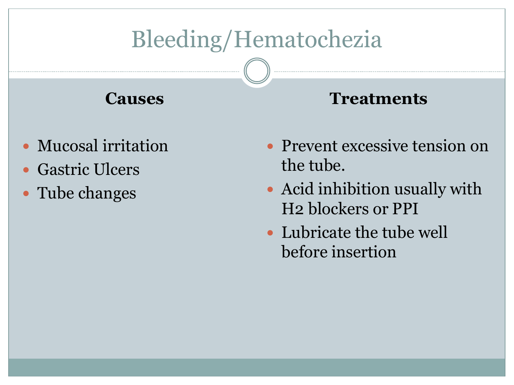# Bleeding/Hematochezia

## **Causes**

- Mucosal irritation
- Gastric Ulcers
- Tube changes

- Prevent excessive tension on the tube.
- Acid inhibition usually with H2 blockers or PPI
- Lubricate the tube well before insertion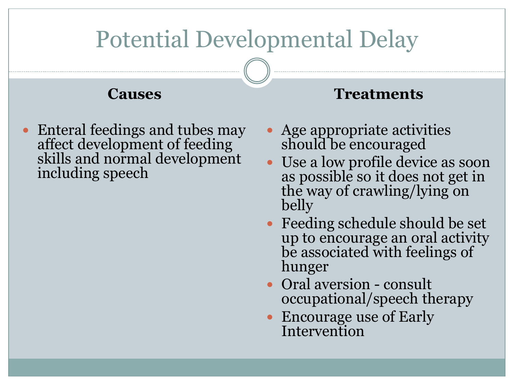# Potential Developmental Delay

#### **Causes**

 Enteral feedings and tubes may affect development of feeding skills and normal development including speech

- Age appropriate activities should be encouraged
- Use a low profile device as soon as possible so it does not get in the way of crawling/lying on belly
- Feeding schedule should be set up to encourage an oral activity be associated with feelings of hunger
- Oral aversion consult occupational/speech therapy
- Encourage use of Early **Intervention**